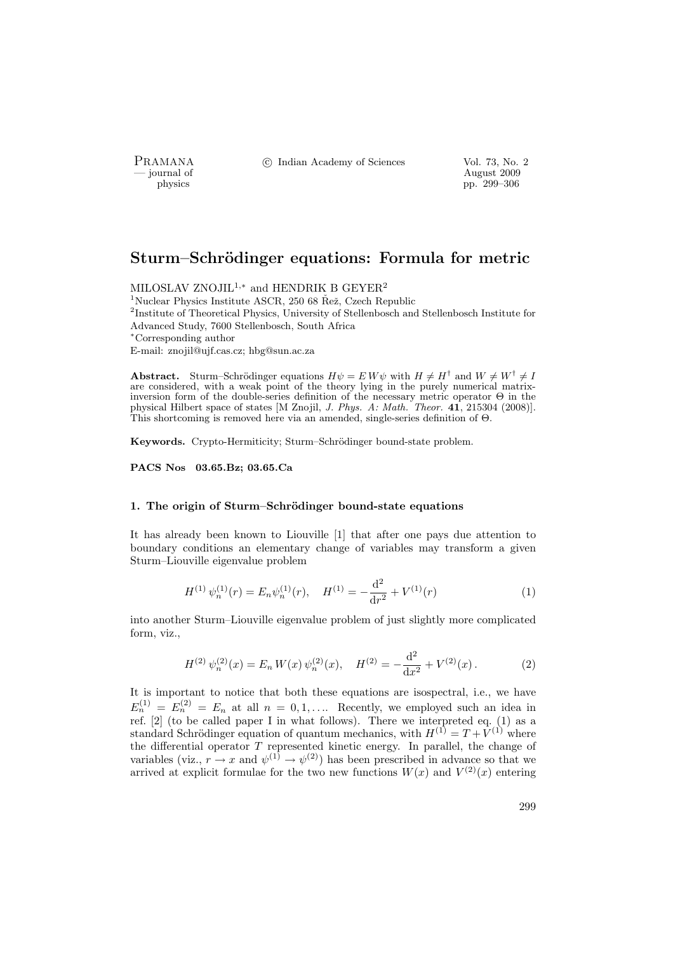PRAMANA °c Indian Academy of Sciences Vol. 73, No. 2

physics and the contract of the contract of the contract of the contract of the contract of the contract of the contract of the contract of the contract of the contract of the contract of the contract of the contract of th pp. 299–306

# Sturm–Schrödinger equations: Formula for metric

MILOSLAV ZNOJIL<sup>1,\*</sup> and HENDRIK B GEYER<sup>2</sup>  $1$ Nuclear Physics Institute ASCR, 250 68 Řež, Czech Republic <sup>2</sup>Institute of Theoretical Physics, University of Stellenbosch and Stellenbosch Institute for Advanced Study, 7600 Stellenbosch, South Africa <sup>∗</sup>Corresponding author E-mail: znojil@ujf.cas.cz; hbg@sun.ac.za

Abstract. Sturm–Schrödinger equations  $H\psi = E W \psi$  with  $H \neq H^{\dagger}$  and  $W \neq W^{\dagger} \neq I$ are considered, with a weak point of the theory lying in the purely numerical matrixinversion form of the double-series definition of the necessary metric operator Θ in the physical Hilbert space of states [M Znojil, J. Phys. A: Math. Theor. 41, 215304 (2008)]. This shortcoming is removed here via an amended, single-series definition of Θ.

Keywords. Crypto-Hermiticity: Sturm–Schrödinger bound-state problem.

PACS Nos 03.65.Bz; 03.65.Ca

## 1. The origin of Sturm–Schrödinger bound-state equations

It has already been known to Liouville [1] that after one pays due attention to boundary conditions an elementary change of variables may transform a given Sturm–Liouville eigenvalue problem

$$
H^{(1)}\psi_n^{(1)}(r) = E_n \psi_n^{(1)}(r), \quad H^{(1)} = -\frac{\mathrm{d}^2}{\mathrm{d}r^2} + V^{(1)}(r) \tag{1}
$$

into another Sturm–Liouville eigenvalue problem of just slightly more complicated form, viz.,

$$
H^{(2)}\,\psi_n^{(2)}(x) = E_n\,W(x)\,\psi_n^{(2)}(x),\quad H^{(2)} = -\frac{\mathrm{d}^2}{\mathrm{d}x^2} + V^{(2)}(x)\,. \tag{2}
$$

It is important to notice that both these equations are isospectral, i.e., we have  $E_n^{(1)} = E_n^{(2)} = E_n$  at all  $n = 0, 1, \ldots$  Recently, we employed such an idea in ref. [2] (to be called paper I in what follows). There we interpreted eq. (1) as a standard Schrödinger equation of quantum mechanics, with  $H^{(1)} = T + V^{(1)}$  where the differential operator  $T$  represented kinetic energy. In parallel, the change of variables (viz.,  $r \to x$  and  $\psi^{(1)} \to \psi^{(2)}$ ) has been prescribed in advance so that we arrived at explicit formulae for the two new functions  $W(x)$  and  $V^{(2)}(x)$  entering

299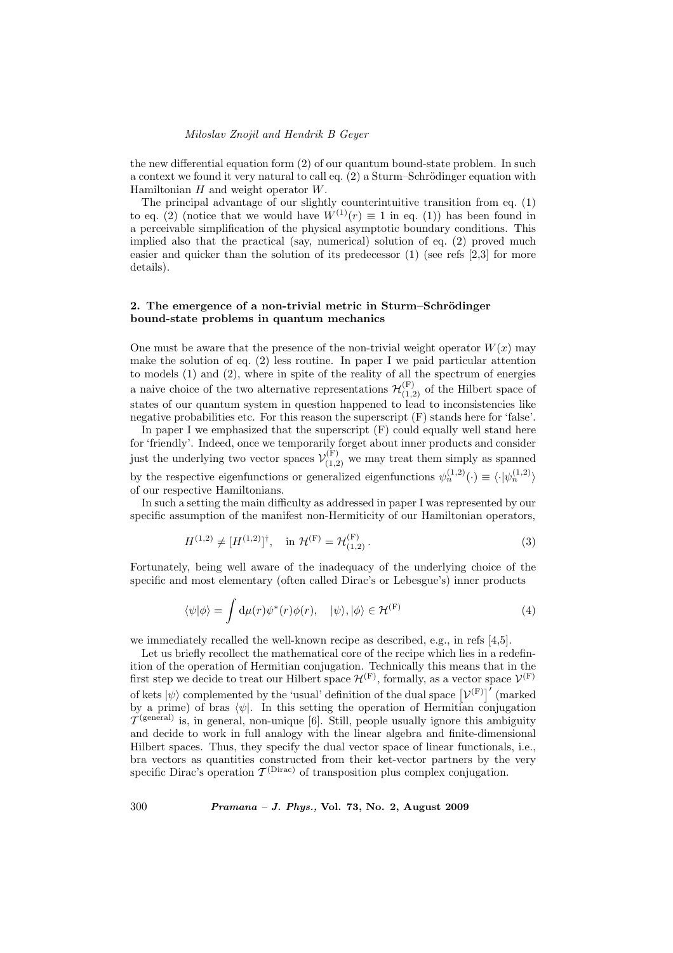the new differential equation form (2) of our quantum bound-state problem. In such a context we found it very natural to call eq.  $(2)$  a Sturm–Schrödinger equation with Hamiltonian  $H$  and weight operator  $W$ .

The principal advantage of our slightly counterintuitive transition from eq. (1) to eq. (2) (notice that we would have  $W^{(1)}(r) \equiv 1$  in eq. (1)) has been found in a perceivable simplification of the physical asymptotic boundary conditions. This implied also that the practical (say, numerical) solution of eq. (2) proved much easier and quicker than the solution of its predecessor  $(1)$  (see refs  $[2,3]$  for more details).

# 2. The emergence of a non-trivial metric in Sturm–Schrödinger bound-state problems in quantum mechanics

One must be aware that the presence of the non-trivial weight operator  $W(x)$  may make the solution of eq.  $(2)$  less routine. In paper I we paid particular attention to models (1) and (2), where in spite of the reality of all the spectrum of energies a naive choice of the two alternative representations  $\mathcal{H}^{(F)}_{(1,2)}$  of the Hilbert space of states of our quantum system in question happened to lead to inconsistencies like negative probabilities etc. For this reason the superscript (F) stands here for 'false'.

In paper I we emphasized that the superscript  $(F)$  could equally well stand here for 'friendly'. Indeed, once we temporarily forget about inner products and consider just the underlying two vector spaces  $\mathcal{V}_{(1,2)}^{(F)}$  we may treat them simply as spanned by the respective eigenfunctions or generalized eigenfunctions  $\psi_n^{(1,2)}(\cdot) \equiv \langle \cdot | \psi_n^{(1,2)} \rangle$ of our respective Hamiltonians.

In such a setting the main difficulty as addressed in paper I was represented by our specific assumption of the manifest non-Hermiticity of our Hamiltonian operators,

$$
H^{(1,2)} \neq [H^{(1,2)}]^\dagger, \quad \text{in } \mathcal{H}^{(F)} = \mathcal{H}^{(F)}_{(1,2)}\,. \tag{3}
$$

Fortunately, being well aware of the inadequacy of the underlying choice of the specific and most elementary (often called Dirac's or Lebesgue's) inner products

$$
\langle \psi | \phi \rangle = \int d\mu(r) \psi^*(r) \phi(r), \quad |\psi \rangle, |\phi \rangle \in \mathcal{H}^{(F)} \tag{4}
$$

we immediately recalled the well-known recipe as described, e.g., in refs [4,5].

Let us briefly recollect the mathematical core of the recipe which lies in a redefinition of the operation of Hermitian conjugation. Technically this means that in the first step we decide to treat our Hilbert space  $\mathcal{H}^{(F)}$ , formally, as a vector space  $\mathcal{V}^{(F)}$ of kets  $|\psi\rangle$  complemented by the 'usual' definition of the dual space  $[\mathcal{V}^{(F)}]'$  (marked by a prime) of bras  $\langle \psi |$ . In this setting the operation of Hermitian conjugation  $\mathcal{T}^{\text{(general)}}$  is, in general, non-unique [6]. Still, people usually ignore this ambiguity and decide to work in full analogy with the linear algebra and finite-dimensional Hilbert spaces. Thus, they specify the dual vector space of linear functionals, i.e., bra vectors as quantities constructed from their ket-vector partners by the very specific Dirac's operation  $\mathcal{T}^{(\text{Dirac})}$  of transposition plus complex conjugation.

300 Pramana – J. Phys., Vol. 73, No. 2, August 2009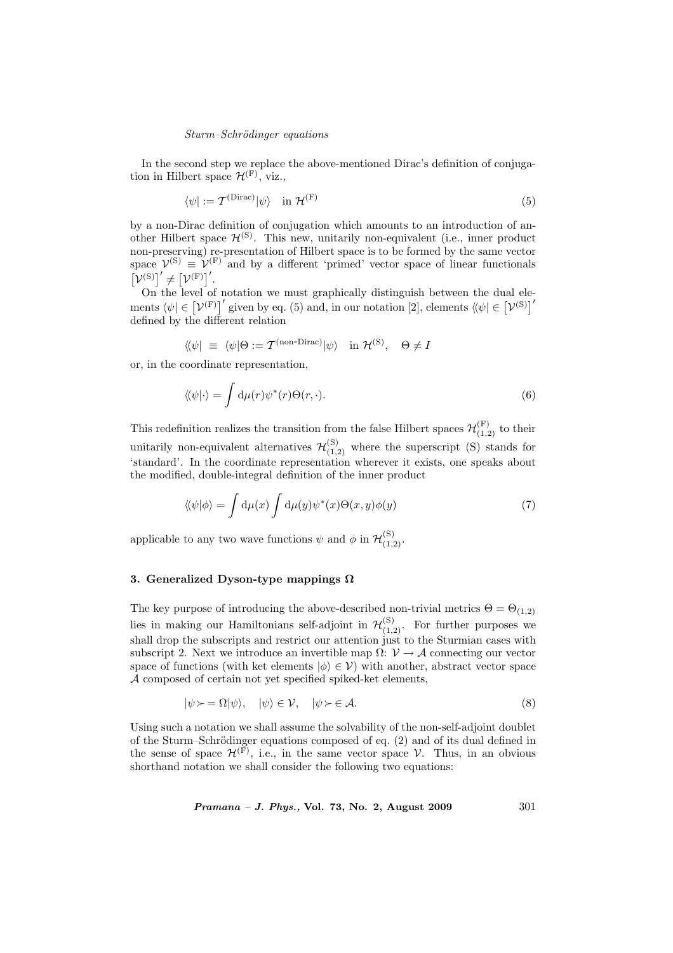#### Sturm–Schrödinger equations

In the second step we replace the above-mentioned Dirac's definition of conjugation in Hilbert space  $\mathcal{H}^{(F)}$ , viz.,

$$
\langle \psi | := \mathcal{T}^{\text{(Dirac)}} | \psi \rangle \quad \text{in } \mathcal{H}^{\text{(F)}} \tag{5}
$$

by a non-Dirac definition of conjugation which amounts to an introduction of another Hilbert space  $\mathcal{H}^{(S)}$ . This new, unitarily non-equivalent (i.e., inner product non-preserving) re-presentation of Hilbert space is to be formed by the same vector space  $\mathcal{V}^{(S)} \equiv \mathcal{V}^{(F)}$  and by a different 'primed' vector space of linear functionals £  $\mathcal{V}^{\text{(S)}}'$   $\neq$ .<br>⊤  $=$   $\sqrt{F}$ <sup> $\left(\frac{F}{F}\right)$ </sup>.

On the level of notation we must graphically distinguish between the dual ele-On the level of hotation we must graphically distinguish between the dual ele-<br>ments  $\langle \psi | \in [\mathcal{V}^{(F)}]'$  given by eq. (5) and, in our notation [2], elements  $\langle \psi | \in [\mathcal{V}^{(S)}]'$ defined by the different relation

$$
\langle\!\langle \psi | \equiv \langle \psi | \Theta := \mathcal{T}^{\text{(non-Dirac)}} | \psi \rangle \quad \text{in } \mathcal{H}^{\text{(S)}}, \quad \Theta \neq I
$$

or, in the coordinate representation,

$$
\langle\!\langle \psi | \cdot \rangle\!\rangle = \int d\mu(r) \psi^*(r) \Theta(r, \cdot). \tag{6}
$$

This redefinition realizes the transition from the false Hilbert spaces  $\mathcal{H}^{(F)}_{(1,2)}$  to their unitarily non-equivalent alternatives  $\mathcal{H}^{(S)}_{(1,2)}$  where the superscript (S) stands for 'standard'. In the coordinate representation wherever it exists, one speaks about the modified, double-integral definition of the inner product

$$
\langle \langle \psi | \phi \rangle = \int d\mu(x) \int d\mu(y) \psi^*(x) \Theta(x, y) \phi(y) \tag{7}
$$

applicable to any two wave functions  $\psi$  and  $\phi$  in  $\mathcal{H}^{(S)}_{(1,2)}$ .

# 3. Generalized Dyson-type mappings  $\Omega$

The key purpose of introducing the above-described non-trivial metrics  $\Theta = \Theta_{(1,2)}$ lies in making our Hamiltonians self-adjoint in  $\mathcal{H}^{(S)}_{(1,2)}$ . For further purposes we shall drop the subscripts and restrict our attention just to the Sturmian cases with subscript 2. Next we introduce an invertible map  $\Omega: \mathcal{V} \to \mathcal{A}$  connecting our vector space of functions (with ket elements  $|\phi\rangle \in \mathcal{V}$ ) with another, abstract vector space A composed of certain not yet specified spiked-ket elements,

$$
|\psi \rangle = \Omega |\psi\rangle, \quad |\psi\rangle \in \mathcal{V}, \quad |\psi \rangle \in \mathcal{A}.
$$
\n
$$
(8)
$$

Using such a notation we shall assume the solvability of the non-self-adjoint doublet of the Sturm–Schrödinger equations composed of eq.  $(2)$  and of its dual defined in the sense of space  $\mathcal{H}^{(F)}$ , i.e., in the same vector space V. Thus, in an obvious shorthand notation we shall consider the following two equations:

*Pramana – J. Phys.*, Vol. 73, No. 2, August 2009  $301$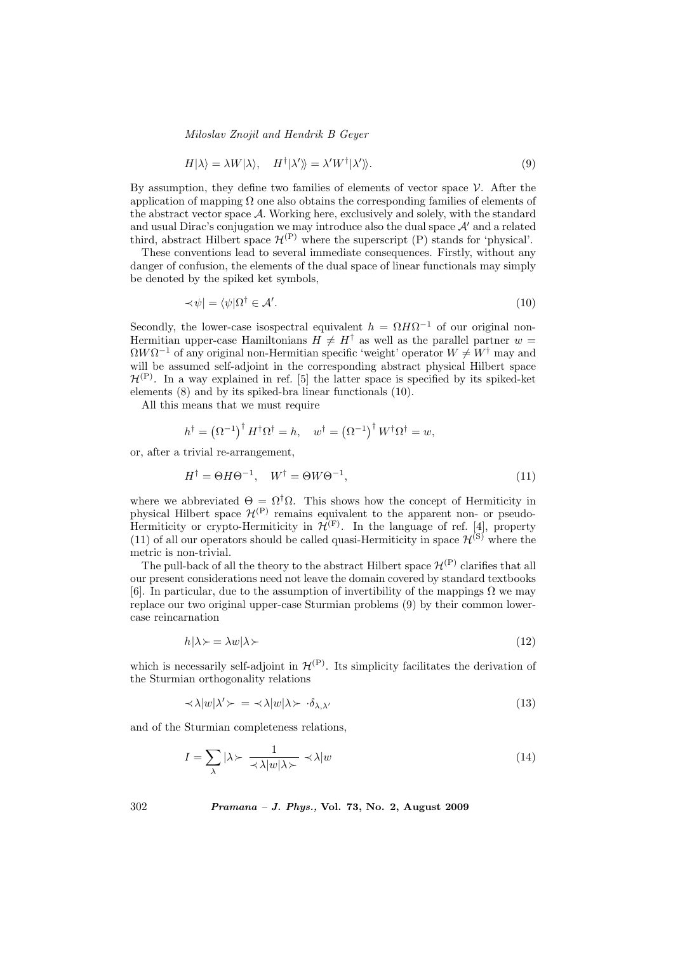$$
H|\lambda\rangle = \lambda W|\lambda\rangle, \quad H^{\dagger}|\lambda'\rangle = \lambda' W^{\dagger}|\lambda'\rangle. \tag{9}
$$

By assumption, they define two families of elements of vector space  $\mathcal V$ . After the application of mapping  $\Omega$  one also obtains the corresponding families of elements of the abstract vector space A. Working here, exclusively and solely, with the standard and usual Dirac's conjugation we may introduce also the dual space  $A'$  and a related third, abstract Hilbert space  $\mathcal{H}^{(P)}$  where the superscript (P) stands for 'physical'.

These conventions lead to several immediate consequences. Firstly, without any danger of confusion, the elements of the dual space of linear functionals may simply be denoted by the spiked ket symbols,

$$
\langle \psi | = \langle \psi | \Omega^{\dagger} \in \mathcal{A}'. \tag{10}
$$

Secondly, the lower-case isospectral equivalent  $h = \Omega H \Omega^{-1}$  of our original non-Hermitian upper-case Hamiltonians  $H \neq H^{\dagger}$  as well as the parallel partner w =  $\Omega W \Omega^{-1}$  of any original non-Hermitian specific 'weight' operator  $W \neq W^{\dagger}$  may and will be assumed self-adjoint in the corresponding abstract physical Hilbert space  $\mathcal{H}^{(P)}$ . In a way explained in ref. [5] the latter space is specified by its spiked-ket elements (8) and by its spiked-bra linear functionals (10).

All this means that we must require

$$
h^{\dagger} = (\Omega^{-1})^{\dagger} H^{\dagger} \Omega^{\dagger} = h, \quad w^{\dagger} = (\Omega^{-1})^{\dagger} W^{\dagger} \Omega^{\dagger} = w,
$$

or, after a trivial re-arrangement,

$$
H^{\dagger} = \Theta H \Theta^{-1}, \quad W^{\dagger} = \Theta W \Theta^{-1}, \tag{11}
$$

where we abbreviated  $\Theta = \Omega^{\dagger} \Omega$ . This shows how the concept of Hermiticity in physical Hilbert space  $\mathcal{H}^{(P)}$  remains equivalent to the apparent non- or pseudo-Hermiticity or crypto-Hermiticity in  $\mathcal{H}^{(F)}$ . In the language of ref. [4], property (11) of all our operators should be called quasi-Hermiticity in space  $\mathcal{H}^{(S)}$  where the metric is non-trivial.

The pull-back of all the theory to the abstract Hilbert space  $\mathcal{H}^{(P)}$  clarifies that all our present considerations need not leave the domain covered by standard textbooks [6]. In particular, due to the assumption of invertibility of the mappings  $\Omega$  we may replace our two original upper-case Sturmian problems (9) by their common lowercase reincarnation

$$
h|\lambda \succ = \lambda w|\lambda \succ \tag{12}
$$

which is necessarily self-adjoint in  $\mathcal{H}^{(P)}$ . Its simplicity facilitates the derivation of the Sturmian orthogonality relations

$$
\langle \lambda |w|\lambda' \rangle = \langle \lambda |w|\lambda \rangle \cdot \delta_{\lambda, \lambda'} \tag{13}
$$

and of the Sturmian completeness relations,

$$
I = \sum_{\lambda} |\lambda \rangle \frac{1}{\langle \lambda | w | \lambda \rangle} \langle \lambda | w \rangle \tag{14}
$$

302 Pramana – J. Phys., Vol. 73, No. 2, August 2009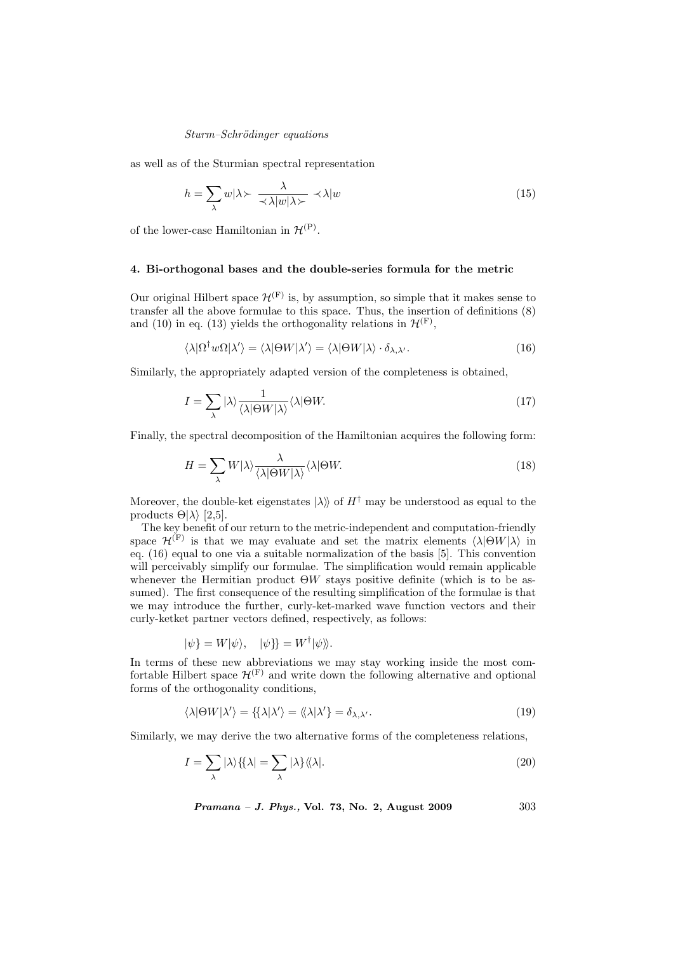## Sturm–Schrödinger equations

as well as of the Sturmian spectral representation

$$
h = \sum_{\lambda} w \vert \lambda \succ \frac{\lambda}{\prec \lambda \vert w \vert \lambda \succ} \prec \lambda \vert w \tag{15}
$$

of the lower-case Hamiltonian in  $\mathcal{H}^{(P)}$ .

# 4. Bi-orthogonal bases and the double-series formula for the metric

Our original Hilbert space  $\mathcal{H}^{(F)}$  is, by assumption, so simple that it makes sense to transfer all the above formulae to this space. Thus, the insertion of definitions (8) and (10) in eq. (13) yields the orthogonality relations in  $\mathcal{H}^{(F)}$ ,

$$
\langle \lambda | \Omega^{\dagger} w \Omega | \lambda' \rangle = \langle \lambda | \Theta W | \lambda' \rangle = \langle \lambda | \Theta W | \lambda \rangle \cdot \delta_{\lambda, \lambda'}.
$$
\n(16)

Similarly, the appropriately adapted version of the completeness is obtained,

$$
I = \sum_{\lambda} |\lambda\rangle \frac{1}{\langle\lambda|\Theta W|\lambda\rangle} \langle\lambda|\Theta W. \tag{17}
$$

Finally, the spectral decomposition of the Hamiltonian acquires the following form:

$$
H = \sum_{\lambda} W|\lambda\rangle \frac{\lambda}{\langle\lambda|\Theta W|\lambda\rangle} \langle\lambda|\Theta W.
$$
 (18)

Moreover, the double-ket eigenstates  $|\lambda\rangle$  of  $H^{\dagger}$  may be understood as equal to the products  $\Theta$ | $\lambda$ } [2,5].

The key benefit of our return to the metric-independent and computation-friendly space  $\mathcal{H}^{(F)}$  is that we may evaluate and set the matrix elements  $\langle \lambda | \Theta W | \lambda \rangle$  in eq. (16) equal to one via a suitable normalization of the basis [5]. This convention will perceivably simplify our formulae. The simplification would remain applicable whenever the Hermitian product  $\Theta W$  stays positive definite (which is to be assumed). The first consequence of the resulting simplification of the formulae is that we may introduce the further, curly-ket-marked wave function vectors and their curly-ketket partner vectors defined, respectively, as follows:

$$
|\psi\} = W|\psi\rangle, \quad |\psi\}\} = W^{\dagger}|\psi\rangle.
$$

In terms of these new abbreviations we may stay working inside the most comfortable Hilbert space  $\mathcal{H}^{(F)}$  and write down the following alternative and optional forms of the orthogonality conditions,

$$
\langle \lambda | \Theta W | \lambda' \rangle = \{ \{ \lambda | \lambda' \} = \langle \lambda | \lambda' \} = \delta_{\lambda, \lambda'}.
$$
\n(19)

Similarly, we may derive the two alternative forms of the completeness relations,

$$
I = \sum_{\lambda} |\lambda\rangle \{ |\lambda| = \sum_{\lambda} |\lambda\rangle \langle \langle \lambda|.
$$
 (20)

*Pramana – J. Phys.*, Vol. 73, No. 2, August 2009  $303$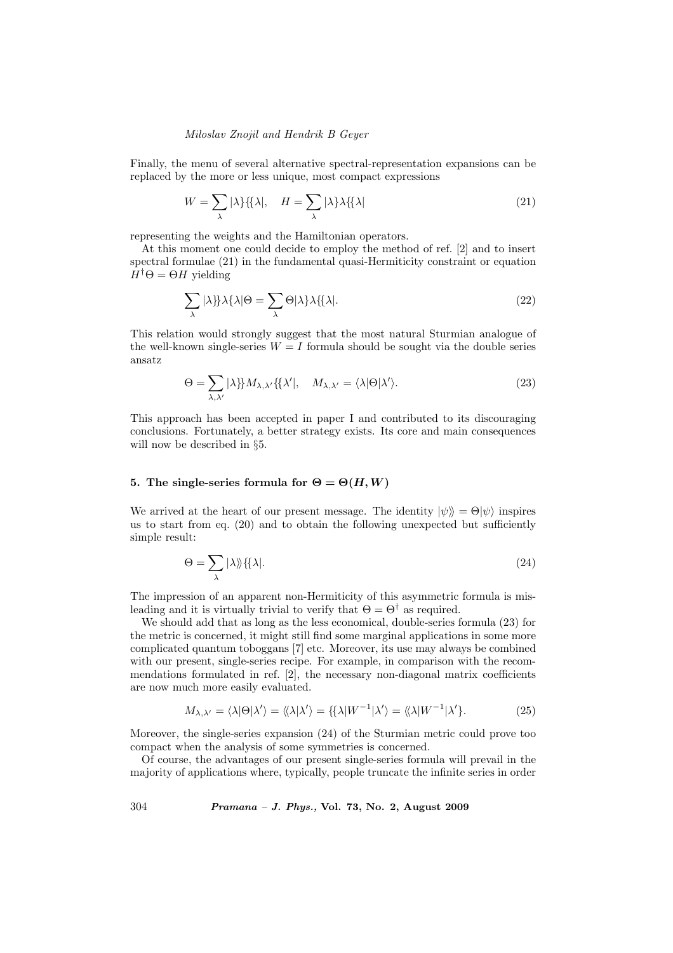Finally, the menu of several alternative spectral-representation expansions can be replaced by the more or less unique, most compact expressions

$$
W = \sum_{\lambda} |\lambda\rangle \{ \{ \lambda |, \quad H = \sum_{\lambda} |\lambda\rangle \lambda \{ \{ \lambda | \tag{21} \}
$$

representing the weights and the Hamiltonian operators.

At this moment one could decide to employ the method of ref. [2] and to insert spectral formulae (21) in the fundamental quasi-Hermiticity constraint or equation  $H^{\dagger} \Theta = \Theta H$  yielding

$$
\sum_{\lambda} |\lambda|\} \lambda \{\lambda | \Theta = \sum_{\lambda} \Theta |\lambda\} \lambda \{\lambda|.
$$
 (22)

This relation would strongly suggest that the most natural Sturmian analogue of the well-known single-series  $W = I$  formula should be sought via the double series ansatz

$$
\Theta = \sum_{\lambda,\lambda'} |\lambda\} M_{\lambda,\lambda'} \{ \lambda' |, \quad M_{\lambda,\lambda'} = \langle \lambda | \Theta | \lambda' \rangle. \tag{23}
$$

This approach has been accepted in paper I and contributed to its discouraging conclusions. Fortunately, a better strategy exists. Its core and main consequences will now be described in §5.

# 5. The single-series formula for  $\Theta = \Theta(H, W)$

We arrived at the heart of our present message. The identity  $|\psi\rangle = \Theta |\psi\rangle$  inspires us to start from eq. (20) and to obtain the following unexpected but sufficiently simple result:

$$
\Theta = \sum_{\lambda} |\lambda\rangle\rangle\{\lambda|.\tag{24}
$$

The impression of an apparent non-Hermiticity of this asymmetric formula is misleading and it is virtually trivial to verify that  $\Theta = \Theta^{\dagger}$  as required.

We should add that as long as the less economical, double-series formula (23) for the metric is concerned, it might still find some marginal applications in some more complicated quantum toboggans [7] etc. Moreover, its use may always be combined with our present, single-series recipe. For example, in comparison with the recommendations formulated in ref. [2], the necessary non-diagonal matrix coefficients are now much more easily evaluated.

$$
M_{\lambda,\lambda'} = \langle \lambda | \Theta | \lambda' \rangle = \langle \lambda | \lambda' \rangle = \{ \{ \lambda | W^{-1} | \lambda' \rangle = \langle \lambda | W^{-1} | \lambda' \}.
$$
 (25)

Moreover, the single-series expansion (24) of the Sturmian metric could prove too compact when the analysis of some symmetries is concerned.

Of course, the advantages of our present single-series formula will prevail in the majority of applications where, typically, people truncate the infinite series in order

304 Pramana – J. Phys., Vol. 73, No. 2, August 2009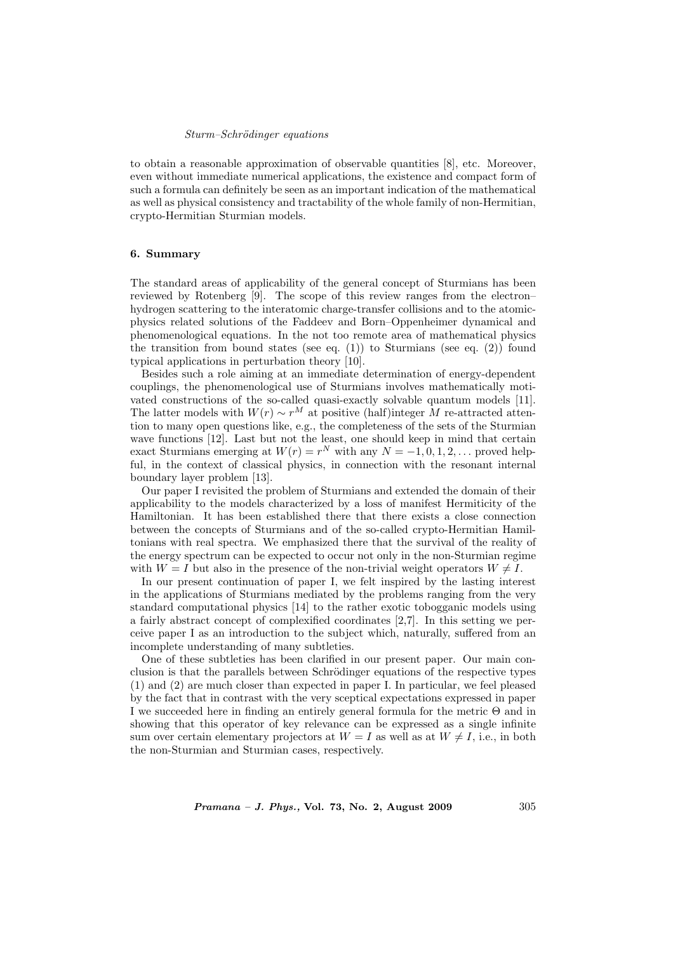#### Sturm–Schrödinger equations

to obtain a reasonable approximation of observable quantities [8], etc. Moreover, even without immediate numerical applications, the existence and compact form of such a formula can definitely be seen as an important indication of the mathematical as well as physical consistency and tractability of the whole family of non-Hermitian, crypto-Hermitian Sturmian models.

# 6. Summary

The standard areas of applicability of the general concept of Sturmians has been reviewed by Rotenberg [9]. The scope of this review ranges from the electron– hydrogen scattering to the interatomic charge-transfer collisions and to the atomicphysics related solutions of the Faddeev and Born–Oppenheimer dynamical and phenomenological equations. In the not too remote area of mathematical physics the transition from bound states (see eq.  $(1)$ ) to Sturmians (see eq.  $(2)$ ) found typical applications in perturbation theory [10].

Besides such a role aiming at an immediate determination of energy-dependent couplings, the phenomenological use of Sturmians involves mathematically motivated constructions of the so-called quasi-exactly solvable quantum models [11]. The latter models with  $W(r) \sim r^M$  at positive (half)integer M re-attracted attention to many open questions like, e.g., the completeness of the sets of the Sturmian wave functions [12]. Last but not the least, one should keep in mind that certain exact Sturmians emerging at  $W(r) = r^N$  with any  $N = -1, 0, 1, 2, \ldots$  proved helpful, in the context of classical physics, in connection with the resonant internal boundary layer problem [13].

Our paper I revisited the problem of Sturmians and extended the domain of their applicability to the models characterized by a loss of manifest Hermiticity of the Hamiltonian. It has been established there that there exists a close connection between the concepts of Sturmians and of the so-called crypto-Hermitian Hamiltonians with real spectra. We emphasized there that the survival of the reality of the energy spectrum can be expected to occur not only in the non-Sturmian regime with  $W = I$  but also in the presence of the non-trivial weight operators  $W \neq I$ .

In our present continuation of paper I, we felt inspired by the lasting interest in the applications of Sturmians mediated by the problems ranging from the very standard computational physics [14] to the rather exotic tobogganic models using a fairly abstract concept of complexified coordinates [2,7]. In this setting we perceive paper I as an introduction to the subject which, naturally, suffered from an incomplete understanding of many subtleties.

One of these subtleties has been clarified in our present paper. Our main conclusion is that the parallels between Schrödinger equations of the respective types (1) and (2) are much closer than expected in paper I. In particular, we feel pleased by the fact that in contrast with the very sceptical expectations expressed in paper I we succeeded here in finding an entirely general formula for the metric Θ and in showing that this operator of key relevance can be expressed as a single infinite sum over certain elementary projectors at  $W = I$  as well as at  $W \neq I$ , i.e., in both the non-Sturmian and Sturmian cases, respectively.

*Pramana – J. Phys.*, Vol. 73, No. 2, August 2009  $305$